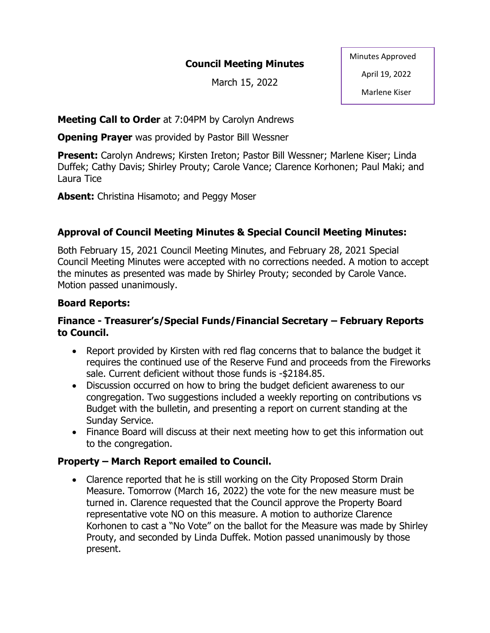## **Council Meeting Minutes**

March 15, 2022

Minutes Approved

April 19, 2022

Marlene Kiser

**Meeting Call to Order** at 7:04PM by Carolyn Andrews

**Opening Prayer** was provided by Pastor Bill Wessner

**Present:** Carolyn Andrews; Kirsten Ireton; Pastor Bill Wessner; Marlene Kiser; Linda Duffek; Cathy Davis; Shirley Prouty; Carole Vance; Clarence Korhonen; Paul Maki; and Laura Tice

**Absent:** Christina Hisamoto; and Peggy Moser

# **Approval of Council Meeting Minutes & Special Council Meeting Minutes:**

Both February 15, 2021 Council Meeting Minutes, and February 28, 2021 Special Council Meeting Minutes were accepted with no corrections needed. A motion to accept the minutes as presented was made by Shirley Prouty; seconded by Carole Vance. Motion passed unanimously.

# **Board Reports:**

## **Finance - Treasurer's/Special Funds/Financial Secretary – February Reports to Council.**

- Report provided by Kirsten with red flag concerns that to balance the budget it requires the continued use of the Reserve Fund and proceeds from the Fireworks sale. Current deficient without those funds is -\$2184.85.
- Discussion occurred on how to bring the budget deficient awareness to our congregation. Two suggestions included a weekly reporting on contributions vs Budget with the bulletin, and presenting a report on current standing at the Sunday Service.
- Finance Board will discuss at their next meeting how to get this information out to the congregation.

# **Property – March Report emailed to Council.**

• Clarence reported that he is still working on the City Proposed Storm Drain Measure. Tomorrow (March 16, 2022) the vote for the new measure must be turned in. Clarence requested that the Council approve the Property Board representative vote NO on this measure. A motion to authorize Clarence Korhonen to cast a "No Vote" on the ballot for the Measure was made by Shirley Prouty, and seconded by Linda Duffek. Motion passed unanimously by those present.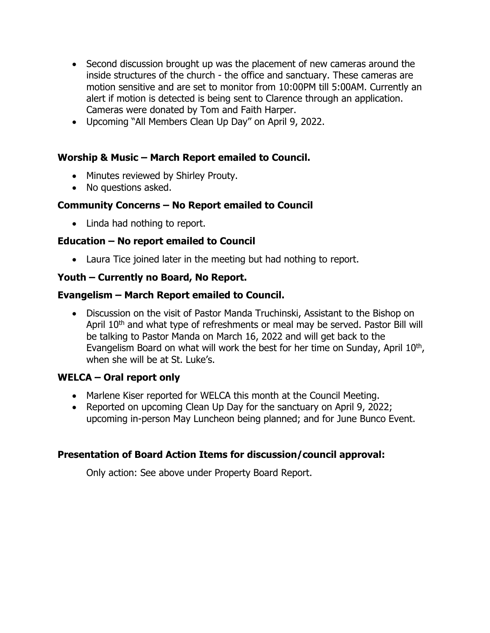- Second discussion brought up was the placement of new cameras around the inside structures of the church - the office and sanctuary. These cameras are motion sensitive and are set to monitor from 10:00PM till 5:00AM. Currently an alert if motion is detected is being sent to Clarence through an application. Cameras were donated by Tom and Faith Harper.
- Upcoming "All Members Clean Up Day" on April 9, 2022.

#### **Worship & Music – March Report emailed to Council.**

- Minutes reviewed by Shirley Prouty.
- No questions asked.

### **Community Concerns – No Report emailed to Council**

• Linda had nothing to report.

### **Education – No report emailed to Council**

• Laura Tice joined later in the meeting but had nothing to report.

### **Youth – Currently no Board, No Report.**

#### **Evangelism – March Report emailed to Council.**

• Discussion on the visit of Pastor Manda Truchinski, Assistant to the Bishop on April 10<sup>th</sup> and what type of refreshments or meal may be served. Pastor Bill will be talking to Pastor Manda on March 16, 2022 and will get back to the Evangelism Board on what will work the best for her time on Sunday, April 10<sup>th</sup>, when she will be at St. Luke's.

## **WELCA – Oral report only**

- Marlene Kiser reported for WELCA this month at the Council Meeting.
- Reported on upcoming Clean Up Day for the sanctuary on April 9, 2022; upcoming in-person May Luncheon being planned; and for June Bunco Event.

## **Presentation of Board Action Items for discussion/council approval:**

Only action: See above under Property Board Report.